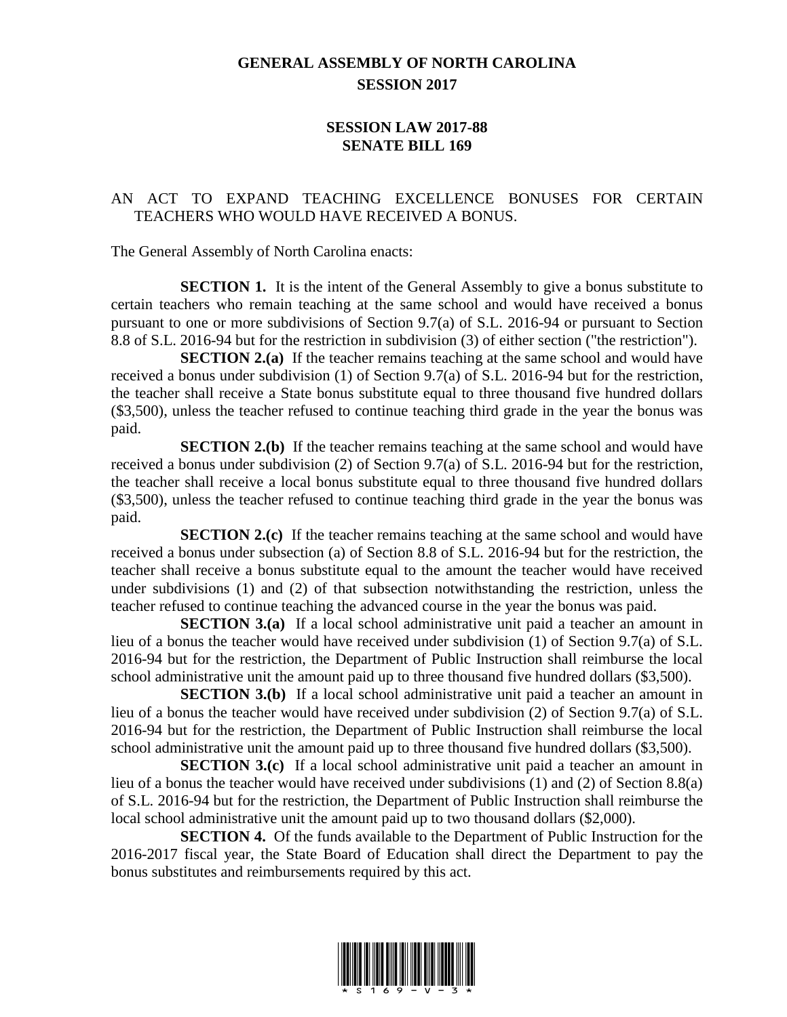## **GENERAL ASSEMBLY OF NORTH CAROLINA SESSION 2017**

## **SESSION LAW 2017-88 SENATE BILL 169**

## AN ACT TO EXPAND TEACHING EXCELLENCE BONUSES FOR CERTAIN TEACHERS WHO WOULD HAVE RECEIVED A BONUS.

The General Assembly of North Carolina enacts:

**SECTION 1.** It is the intent of the General Assembly to give a bonus substitute to certain teachers who remain teaching at the same school and would have received a bonus pursuant to one or more subdivisions of Section 9.7(a) of S.L. 2016-94 or pursuant to Section 8.8 of S.L. 2016-94 but for the restriction in subdivision (3) of either section ("the restriction").

**SECTION 2.(a)** If the teacher remains teaching at the same school and would have received a bonus under subdivision (1) of Section 9.7(a) of S.L. 2016-94 but for the restriction, the teacher shall receive a State bonus substitute equal to three thousand five hundred dollars (\$3,500), unless the teacher refused to continue teaching third grade in the year the bonus was paid.

**SECTION 2.(b)** If the teacher remains teaching at the same school and would have received a bonus under subdivision (2) of Section 9.7(a) of S.L. 2016-94 but for the restriction, the teacher shall receive a local bonus substitute equal to three thousand five hundred dollars (\$3,500), unless the teacher refused to continue teaching third grade in the year the bonus was paid.

**SECTION 2.(c)** If the teacher remains teaching at the same school and would have received a bonus under subsection (a) of Section 8.8 of S.L. 2016-94 but for the restriction, the teacher shall receive a bonus substitute equal to the amount the teacher would have received under subdivisions (1) and (2) of that subsection notwithstanding the restriction, unless the teacher refused to continue teaching the advanced course in the year the bonus was paid.

**SECTION 3.(a)** If a local school administrative unit paid a teacher an amount in lieu of a bonus the teacher would have received under subdivision (1) of Section 9.7(a) of S.L. 2016-94 but for the restriction, the Department of Public Instruction shall reimburse the local school administrative unit the amount paid up to three thousand five hundred dollars (\$3,500).

**SECTION 3.(b)** If a local school administrative unit paid a teacher an amount in lieu of a bonus the teacher would have received under subdivision (2) of Section 9.7(a) of S.L. 2016-94 but for the restriction, the Department of Public Instruction shall reimburse the local school administrative unit the amount paid up to three thousand five hundred dollars (\$3,500).

**SECTION 3.(c)** If a local school administrative unit paid a teacher an amount in lieu of a bonus the teacher would have received under subdivisions (1) and (2) of Section 8.8(a) of S.L. 2016-94 but for the restriction, the Department of Public Instruction shall reimburse the local school administrative unit the amount paid up to two thousand dollars (\$2,000).

**SECTION 4.** Of the funds available to the Department of Public Instruction for the 2016-2017 fiscal year, the State Board of Education shall direct the Department to pay the bonus substitutes and reimbursements required by this act.